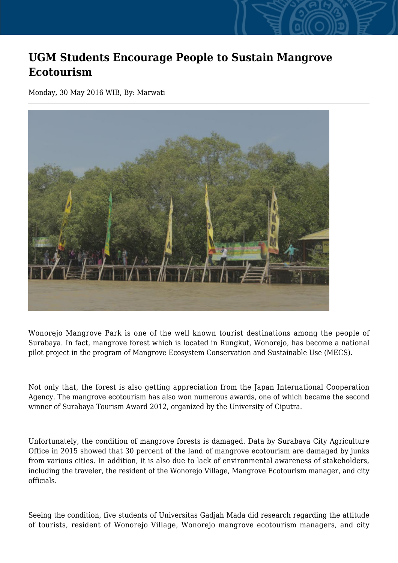## **UGM Students Encourage People to Sustain Mangrove Ecotourism**

Monday, 30 May 2016 WIB, By: Marwati



Wonorejo Mangrove Park is one of the well known tourist destinations among the people of Surabaya. In fact, mangrove forest which is located in Rungkut, Wonorejo, has become a national pilot project in the program of Mangrove Ecosystem Conservation and Sustainable Use (MECS).

Not only that, the forest is also getting appreciation from the Japan International Cooperation Agency. The mangrove ecotourism has also won numerous awards, one of which became the second winner of Surabaya Tourism Award 2012, organized by the University of Ciputra.

Unfortunately, the condition of mangrove forests is damaged. Data by Surabaya City Agriculture Office in 2015 showed that 30 percent of the land of mangrove ecotourism are damaged by junks from various cities. In addition, it is also due to lack of environmental awareness of stakeholders, including the traveler, the resident of the Wonorejo Village, Mangrove Ecotourism manager, and city officials.

Seeing the condition, five students of Universitas Gadjah Mada did research regarding the attitude of tourists, resident of Wonorejo Village, Wonorejo mangrove ecotourism managers, and city